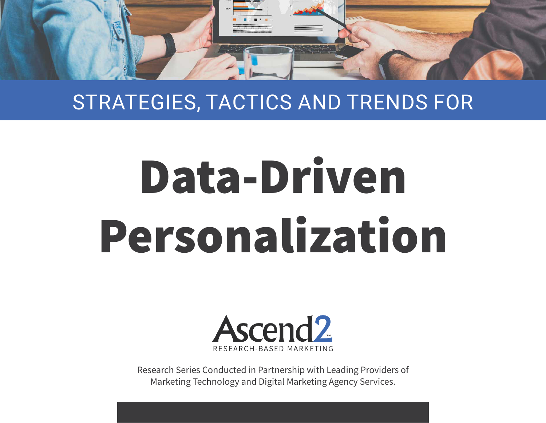

#### STRATEGIES, TACTICS AND TRENDS FOR

# Data-Driven Personalization



Research Series Conducted in Partnership with Leading Providers of Marketing Technology and Digital Marketing Agency Services.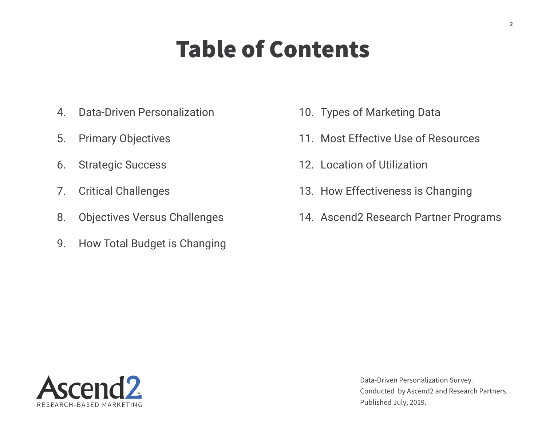#### Table of Contents

- 4. Data-Driven Personalization
- 5. Primary Objectives
- 6. Strategic Success
- 7. Critical Challenges
- 8. Objectives Versus Challenges
- 9. How Total Budget is Changing
- 10. Types of Marketing Data
- 11. Most Effective Use of Resources
- 12. Location of Utilization
- 13. How Effectiveness is Changing
- 14. Ascend2 Research Partner Programs

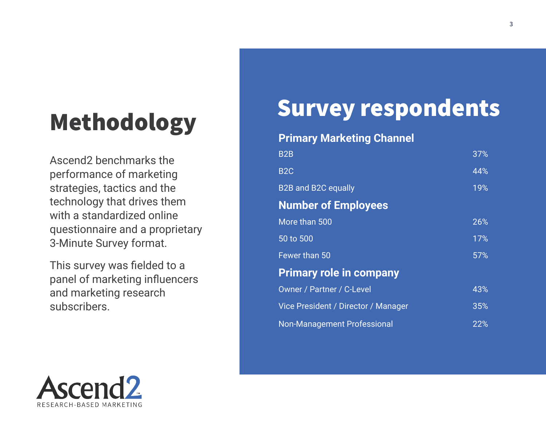Ascend2 benchmarks the performance of marketing strategies, tactics and the technology that drives them with a standardized online questionnaire and a proprietary 3-Minute Survey format.

This survey was fielded to a panel of marketing influencers and marketing research subscribers.

# Survey respondents Methodology

#### **Primary Marketing Channel**

| B <sub>2</sub> B                    | 37% |
|-------------------------------------|-----|
| B <sub>2</sub> C                    | 44% |
| <b>B2B and B2C equally</b>          | 19% |
| <b>Number of Employees</b>          |     |
| More than 500                       | 26% |
| 50 to 500                           | 17% |
| Fewer than 50                       | 57% |
| <b>Primary role in company</b>      |     |
| <b>Owner / Partner / C-Level</b>    | 43% |
| Vice President / Director / Manager | 35% |
| <b>Non-Management Professional</b>  | 22% |

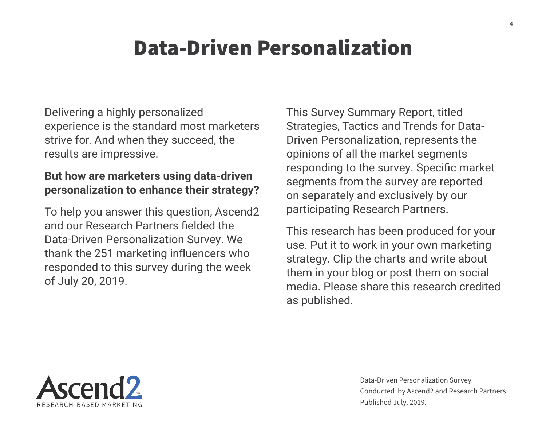#### Data-Driven Personalization

Delivering a highly personalized experience is the standard most marketers strive for. And when they succeed, the results are impressive.

#### **But how are marketers using data-driven personalization to enhance their strategy?**

To help you answer this question, Ascend2 and our Research Partners fielded the Data-Driven Personalization Survey. We thank the 251 marketing influencers who responded to this survey during the week of July 20, 2019.

This Survey Summary Report, titled Strategies, Tactics and Trends for Data-Driven Personalization, represents the opinions of all the market segments responding to the survey. Specific market segments from the survey are reported on separately and exclusively by our participating Research Partners.

This research has been produced for your use. Put it to work in your own marketing strategy. Clip the charts and write about them in your blog or post them on social media. Please share this research credited as published.

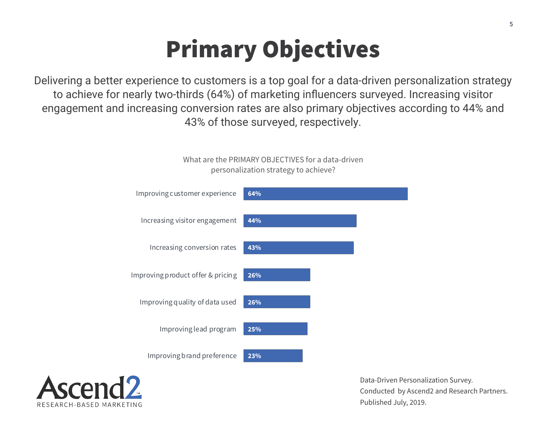### Primary Objectives

Delivering a better experience to customers is a top goal for a data-driven personalization strategy to achieve for nearly two-thirds (64%) of marketing influencers surveyed. Increasing visitor engagement and increasing conversion rates are also primary objectives according to 44% and 43% of those surveyed, respectively.



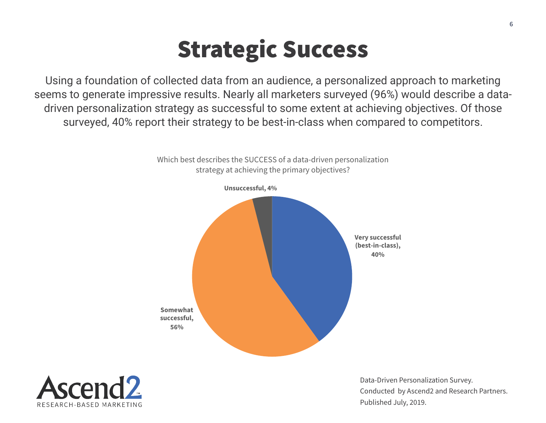#### Strategic Success

Using a foundation of collected data from an audience, a personalized approach to marketing seems to generate impressive results. Nearly all marketers surveyed (96%) would describe a datadriven personalization strategy as successful to some extent at achieving objectives. Of those surveyed, 40% report their strategy to be best-in-class when compared to competitors.



Which best describes the SUCCESS of a data-driven personalization strategy at achieving the primary objectives?

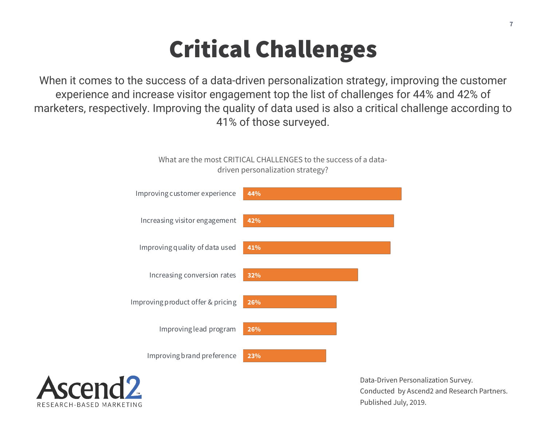#### Critical Challenges

When it comes to the success of a data-driven personalization strategy, improving the customer experience and increase visitor engagement top the list of challenges for 44% and 42% of marketers, respectively. Improving the quality of data used is also a critical challenge according to 41% of those surveyed.

What are the most CRITICAL CHALLENGES to the success of a data-



RESEARCH-BASED MARKETING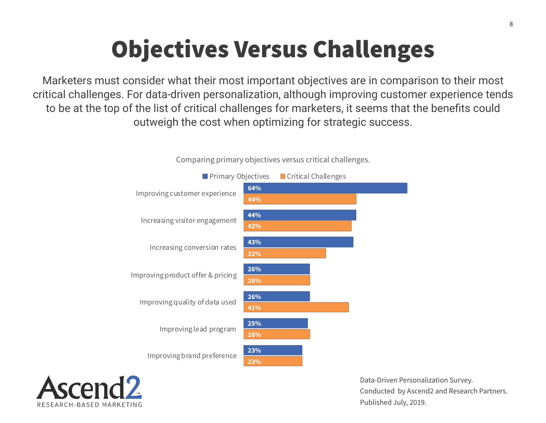## Objectives Versus Challenges

Marketers must consider what their most important objectives are in comparison to their most critical challenges. For data-driven personalization, although improving customer experience tends to be at the top of the list of critical challenges for marketers, it seems that the benefits could outweigh the cost when optimizing for strategic success.



Comparing primary objectives versus critical challenges.

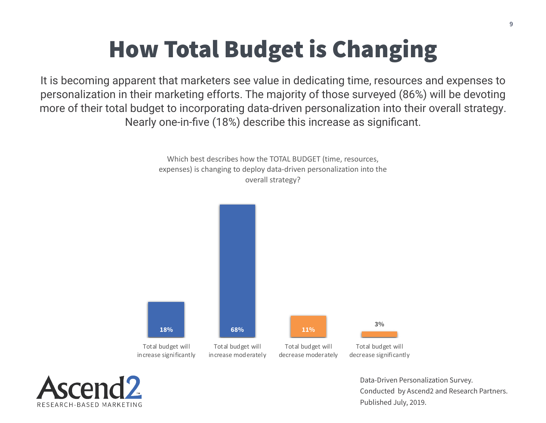#### How Total Budget is Changing

It is becoming apparent that marketers see value in dedicating time, resources and expenses to personalization in their marketing efforts. The majority of those surveyed (86%) will be devoting more of their total budget to incorporating data-driven personalization into their overall strategy. Nearly one-in-five (18%) describe this increase as significant.

> Which best describes how the TOTAL BUDGET (time, resources, expenses) is changing to deploy data-driven personalization into the overall strategy?



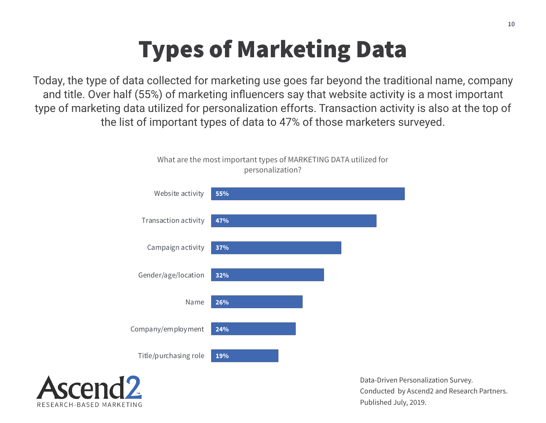#### Types of Marketing Data

Today, the type of data collected for marketing use goes far beyond the traditional name, company and title. Over half (55%) of marketing influencers say that website activity is a most important type of marketing data utilized for personalization efforts. Transaction activity is also at the top of the list of important types of data to 47% of those marketers surveyed.



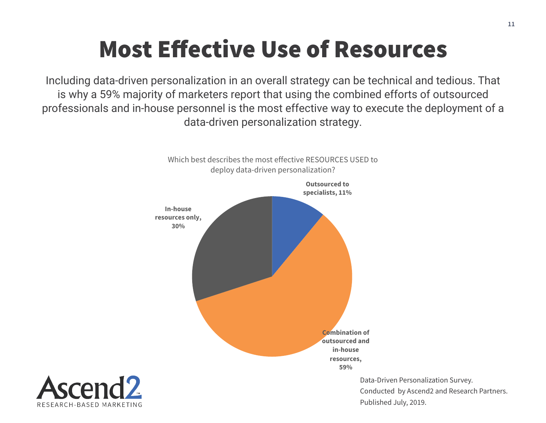#### Most Effective Use of Resources

Including data-driven personalization in an overall strategy can be technical and tedious. That is why a 59% majority of marketers report that using the combined efforts of outsourced professionals and in-house personnel is the most effective way to execute the deployment of a data-driven personalization strategy.



RESEARCH-BASED MARKETING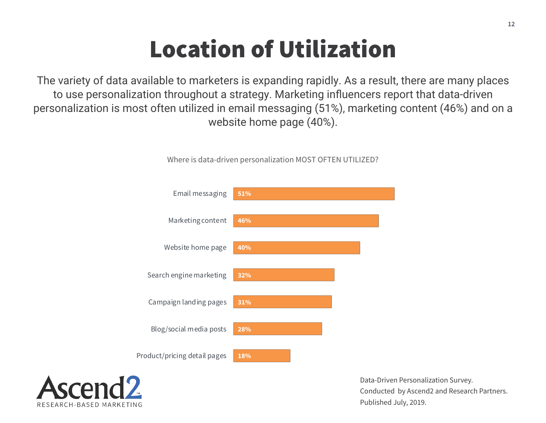#### Location of Utilization

The variety of data available to marketers is expanding rapidly. As a result, there are many places to use personalization throughout a strategy. Marketing influencers report that data-driven personalization is most often utilized in email messaging (51%), marketing content (46%) and on a website home page (40%).



Where is data-driven personalization MOST OFTEN UTILIZED?

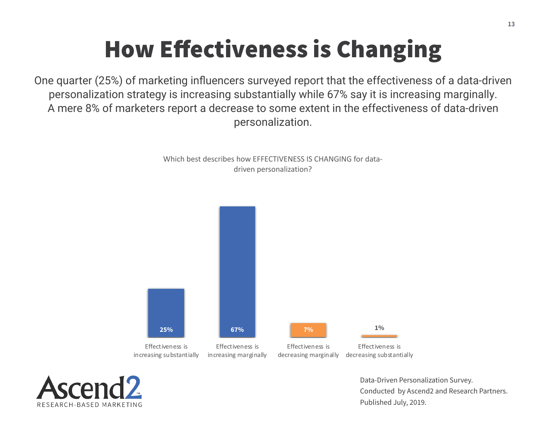## How Effectiveness is Changing

One quarter (25%) of marketing influencers surveyed report that the effectiveness of a data-driven personalization strategy is increasing substantially while 67% say it is increasing marginally. A mere 8% of marketers report a decrease to some extent in the effectiveness of data-driven personalization.

> Which best describes how EFFECTIVENESS IS CHANGING for datadriven personalization?